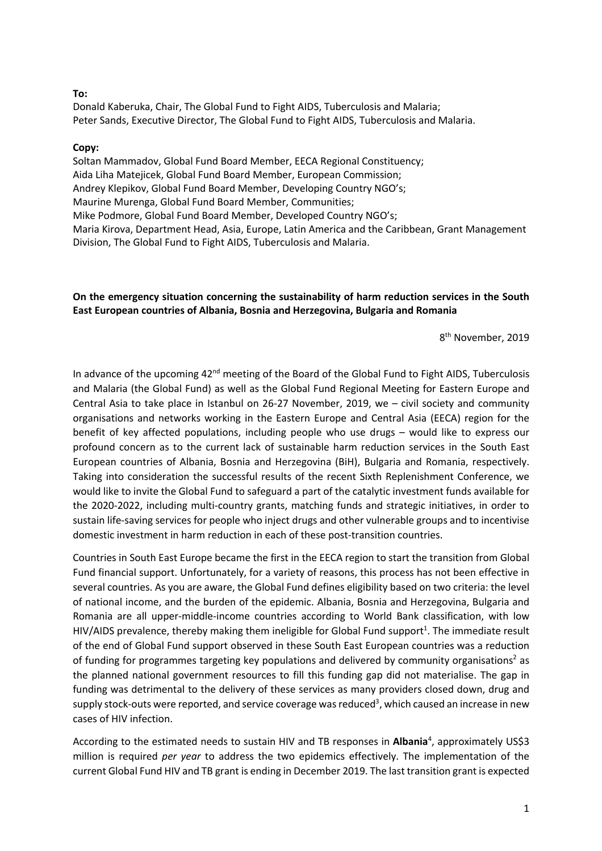## **To:**

Donald Kaberuka, Chair, The Global Fund to Fight AIDS, Tuberculosis and Malaria; Peter Sands, Executive Director, The Global Fund to Fight AIDS, Tuberculosis and Malaria.

## **Copy:**

Soltan Mammadov, Global Fund Board Member, EECA Regional Constituency; Aida Liha Matejicek, Global Fund Board Member, European Commission; Andrey Klepikov, Global Fund Board Member, Developing Country NGO's; Maurine Murenga, Global Fund Board Member, Communities; Mike Podmore, Global Fund Board Member, Developed Country NGO's; Maria Kirova, Department Head, Asia, Europe, Latin America and the Caribbean, Grant Management Division, The Global Fund to Fight AIDS, Tuberculosis and Malaria.

## **On the emergency situation concerning the sustainability of harm reduction services in the South East European countries of Albania, Bosnia and Herzegovina, Bulgaria and Romania**

8<sup>th</sup> November, 2019

In advance of the upcoming 42<sup>nd</sup> meeting of the Board of the Global Fund to Fight AIDS, Tuberculosis and Malaria (the Global Fund) as well as the Global Fund Regional Meeting for Eastern Europe and Central Asia to take place in Istanbul on 26-27 November, 2019, we – civil society and community organisations and networks working in the Eastern Europe and Central Asia (EECA) region for the benefit of key affected populations, including people who use drugs – would like to express our profound concern as to the current lack of sustainable harm reduction services in the South East European countries of Albania, Bosnia and Herzegovina (BiH), Bulgaria and Romania, respectively. Taking into consideration the successful results of the recent Sixth Replenishment Conference, we would like to invite the Global Fund to safeguard a part of the catalytic investment funds available for the 2020-2022, including multi-country grants, matching funds and strategic initiatives, in order to sustain life-saving services for people who inject drugs and other vulnerable groups and to incentivise domestic investment in harm reduction in each of these post-transition countries.

Countries in South East Europe became the first in the EECA region to start the transition from Global Fund financial support. Unfortunately, for a variety of reasons, this process has not been effective in several countries. As you are aware, the Global Fund defines eligibility based on two criteria: the level of national income, and the burden of the epidemic. Albania, Bosnia and Herzegovina, Bulgaria and Romania are all upper-middle-income countries according to World Bank classification, with low HIV/AIDS prevalence, thereby making them ineligible for Global Fund support<sup>1</sup>. The immediate result of the end of Global Fund support observed in these South East European countries was a reduction of funding for programmes targeting key populations and delivered by community organisations<sup>2</sup> as the planned national government resources to fill this funding gap did not materialise. The gap in funding was detrimental to the delivery of these services as many providers closed down, drug and supply stock-outs were reported, and service coverage was reduced<sup>3</sup>, which caused an increase in new cases of HIV infection.

According to the estimated needs to sustain HIV and TB responses in **Albania**<sup>4</sup>, approximately US\$3 million is required *per year* to address the two epidemics effectively. The implementation of the current Global Fund HIV and TB grant is ending in December 2019. The last transition grant is expected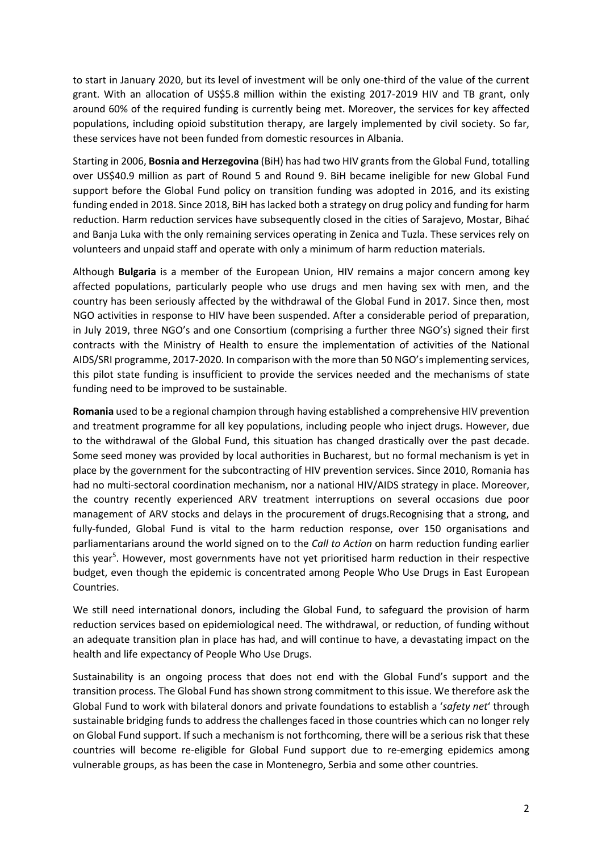to start in January 2020, but its level of investment will be only one-third of the value of the current grant. With an allocation of US\$5.8 million within the existing 2017-2019 HIV and TB grant, only around 60% of the required funding is currently being met. Moreover, the services for key affected populations, including opioid substitution therapy, are largely implemented by civil society. So far, these services have not been funded from domestic resources in Albania.

Starting in 2006, **Bosnia and Herzegovina** (BiH) has had two HIV grants from the Global Fund, totalling over US\$40.9 million as part of Round 5 and Round 9. BiH became ineligible for new Global Fund support before the Global Fund policy on transition funding was adopted in 2016, and its existing funding ended in 2018. Since 2018, BiH has lacked both a strategy on drug policy and funding for harm reduction. Harm reduction services have subsequently closed in the cities of Sarajevo, Mostar, Bihać and Banja Luka with the only remaining services operating in Zenica and Tuzla. These services rely on volunteers and unpaid staff and operate with only a minimum of harm reduction materials.

Although **Bulgaria** is a member of the European Union, HIV remains a major concern among key affected populations, particularly people who use drugs and men having sex with men, and the country has been seriously affected by the withdrawal of the Global Fund in 2017. Since then, most NGO activities in response to HIV have been suspended. After a considerable period of preparation, in July 2019, three NGO's and one Consortium (comprising a further three NGO's) signed their first contracts with the Ministry of Health to ensure the implementation of activities of the National AIDS/SRI programme, 2017-2020. In comparison with the more than 50 NGO'simplementing services, this pilot state funding is insufficient to provide the services needed and the mechanisms of state funding need to be improved to be sustainable.

**Romania** used to be a regional champion through having established a comprehensive HIV prevention and treatment programme for all key populations, including people who inject drugs. However, due to the withdrawal of the Global Fund, this situation has changed drastically over the past decade. Some seed money was provided by local authorities in Bucharest, but no formal mechanism is yet in place by the government for the subcontracting of HIV prevention services. Since 2010, Romania has had no multi-sectoral coordination mechanism, nor a national HIV/AIDS strategy in place. Moreover, the country recently experienced ARV treatment interruptions on several occasions due poor management of ARV stocks and delays in the procurement of drugs.Recognising that a strong, and fully-funded, Global Fund is vital to the harm reduction response, over 150 organisations and parliamentarians around the world signed on to the *Call to Action* on harm reduction funding earlier this year<sup>5</sup>. However, most governments have not yet prioritised harm reduction in their respective budget, even though the epidemic is concentrated among People Who Use Drugs in East European Countries.

We still need international donors, including the Global Fund, to safeguard the provision of harm reduction services based on epidemiological need. The withdrawal, or reduction, of funding without an adequate transition plan in place has had, and will continue to have, a devastating impact on the health and life expectancy of People Who Use Drugs.

Sustainability is an ongoing process that does not end with the Global Fund's support and the transition process. The Global Fund has shown strong commitment to this issue. We therefore ask the Global Fund to work with bilateral donors and private foundations to establish a '*safety net*' through sustainable bridging funds to address the challenges faced in those countries which can no longer rely on Global Fund support. If such a mechanism is not forthcoming, there will be a serious risk that these countries will become re-eligible for Global Fund support due to re-emerging epidemics among vulnerable groups, as has been the case in Montenegro, Serbia and some other countries.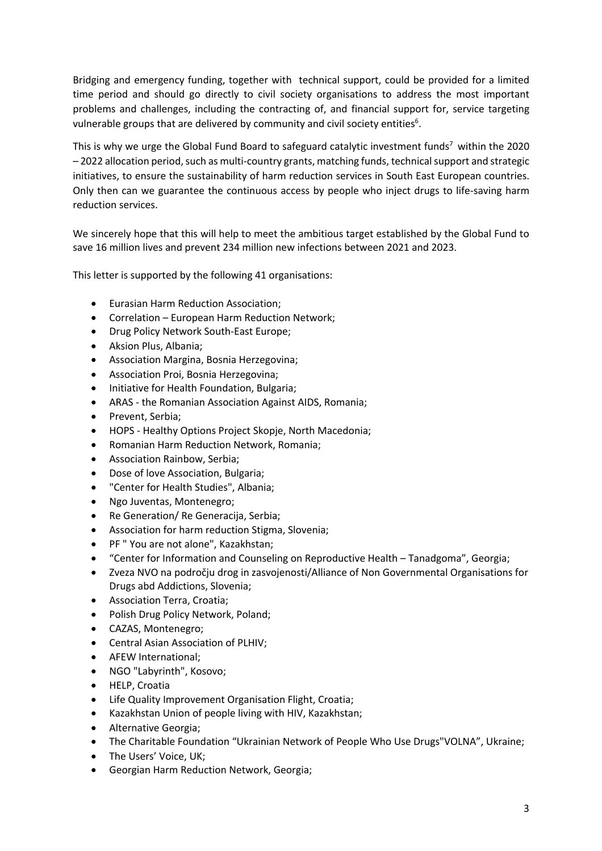Bridging and emergency funding, together with technical support, could be provided for a limited time period and should go directly to civil society organisations to address the most important problems and challenges, including the contracting of, and financial support for, service targeting vulnerable groups that are delivered by community and civil society entities $6$ .

This is why we urge the Global Fund Board to safeguard catalytic investment funds<sup>7</sup> within the 2020 – 2022 allocation period, such as multi-country grants, matching funds, technical support and strategic initiatives, to ensure the sustainability of harm reduction services in South East European countries. Only then can we guarantee the continuous access by people who inject drugs to life-saving harm reduction services.

We sincerely hope that this will help to meet the ambitious target established by the Global Fund to save 16 million lives and prevent 234 million new infections between 2021 and 2023.

This letter is supported by the following 41 organisations:

- Eurasian Harm Reduction Association;
- Correlation European Harm Reduction Network;
- Drug Policy Network South-East Europe;
- Aksion Plus, Albania;
- Association Margina, Bosnia Herzegovina;
- Association Proi, Bosnia Herzegovina;
- Initiative for Health Foundation, Bulgaria;
- ARAS the Romanian Association Against AIDS, Romania;
- Prevent, Serbia;
- HOPS Healthy Options Project Skopje, North Macedonia;
- Romanian Harm Reduction Network, Romania;
- Association Rainbow, Serbia;
- Dose of love Association, Bulgaria;
- "Center for Health Studies", Albania;
- Ngo Juventas, Montenegro;
- Re Generation/ Re Generacija, Serbia:
- Association for harm reduction Stigma, Slovenia;
- PF " You are not alone", Kazakhstan;
- "Center for Information and Counseling on Reproductive Health Tanadgoma", Georgia;
- Zveza NVO na področju drog in zasvojenosti/Alliance of Non Governmental Organisations for Drugs abd Addictions, Slovenia;
- Association Terra, Croatia;
- Polish Drug Policy Network, Poland;
- CAZAS, Montenegro;
- Central Asian Association of PLHIV;
- AFEW International;
- NGO "Labyrinth", Kosovo;
- HELP, Croatia
- Life Quality Improvement Organisation Flight, Croatia;
- Kazakhstan Union of people living with HIV, Kazakhstan;
- Alternative Georgia;
- The Charitable Foundation "Ukrainian Network of People Who Use Drugs"VOLNA", Ukraine;
- The Users' Voice, UK;
- Georgian Harm Reduction Network, Georgia;